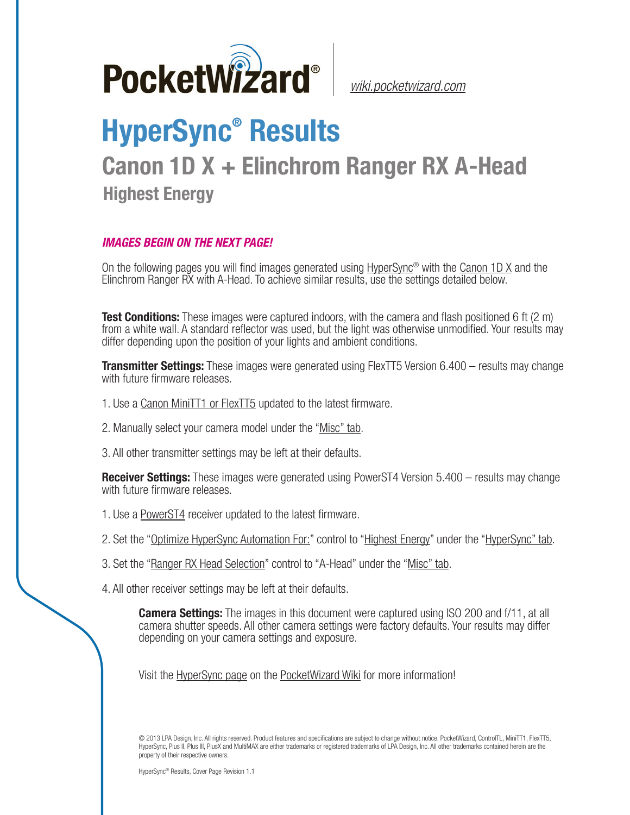

*[wiki.pocketwizard.com](http://wiki.pocketwizard.com/)*

## **HyperSync® Results**

## **Canon 1D X + Elinchrom Ranger RX A-Head Highest Energy**

## *IMAGES BEGIN ON THE NEXT PAGE!*

On the following pages you will find images generated using [HyperSync](http://wiki.pocketwizard.com/index.php?title=Hypersync)® with the [Canon 1D X](http://wiki.pocketwizard.com/index.php?title=Canon_1D_X) and the Elinchrom Ranger RX with A-Head. To achieve similar results, use the settings detailed below.

**Test Conditions:** These images were captured indoors, with the camera and flash positioned 6 ft (2 m) from a white wall. A standard reflector was used, but the light was otherwise unmodified. Your results may differ depending upon the position of your lights and ambient conditions.

**Transmitter Settings:** These images were generated using FlexTT5 Version 6.400 – results may change with future firmware releases.

- 1. Use a [Canon MiniTT1 or FlexTT5](http://wiki.pocketwizard.com/index.php?title=Canon_MiniTT1_and_FlexTT5) updated to the latest firmware.
- 2. Manually select your camera model under the "[Misc" tab.](http://wiki.pocketwizard.com/index.php?title=Misc_Tab)
- 3. All other transmitter settings may be left at their defaults.

**Receiver Settings:** These images were generated using PowerST4 Version 5.400 – results may change with future firmware releases.

- 1. Use a [PowerST4](http://wiki.pocketwizard.com/index.php?title=PowerST4) receiver updated to the latest firmware.
- 2. Set the "[Optimize HyperSync Automation For:](http://wiki.pocketwizard.com/index.php?title=HyperSync/HSS_Tab#Optimize_HyperSync_Automation_For:)" control to ["Highest Energy"](http://wiki.pocketwizard.com/index.php?title=HyperSync/HSS_Tab#Optimize_HyperSync_Automation_For:) under the "[HyperSync" tab.](http://wiki.pocketwizard.com/index.php?title=Hypersync_tab)
- 3. Set the "[Ranger RX Head Selection"](http://wiki.pocketwizard.com/index.php?title=Misc_Tab#Ranger_RX_Head_Selection) control to "A-Head" under the ["Misc" tab](http://wiki.pocketwizard.com/index.php?title=Misc_Tab).
- 4. All other receiver settings may be left at their defaults.

**Camera Settings:** The images in this document were captured using ISO 200 and f/11, at all camera shutter speeds. All other camera settings were factory defaults. Your results may differ depending on your camera settings and exposure.

Visit the [HyperSync page](http://wiki.pocketwizard.com/index.php?title=Hypersync) on the [PocketWizard Wiki](http://wiki.pocketwizard.com/) for more information!

© 2013 LPA Design, Inc. All rights reserved. Product features and specifications are subject to change without notice. PocketWizard, ControlTL, MiniTT1, FlexTT5, HyperSync, Plus II, Plus III, PlusX and MultiMAX are either trademarks or registered trademarks of LPA Design, Inc. All other trademarks contained herein are the property of their respective owners.

HyperSync® Results, Cover Page Revision 1.1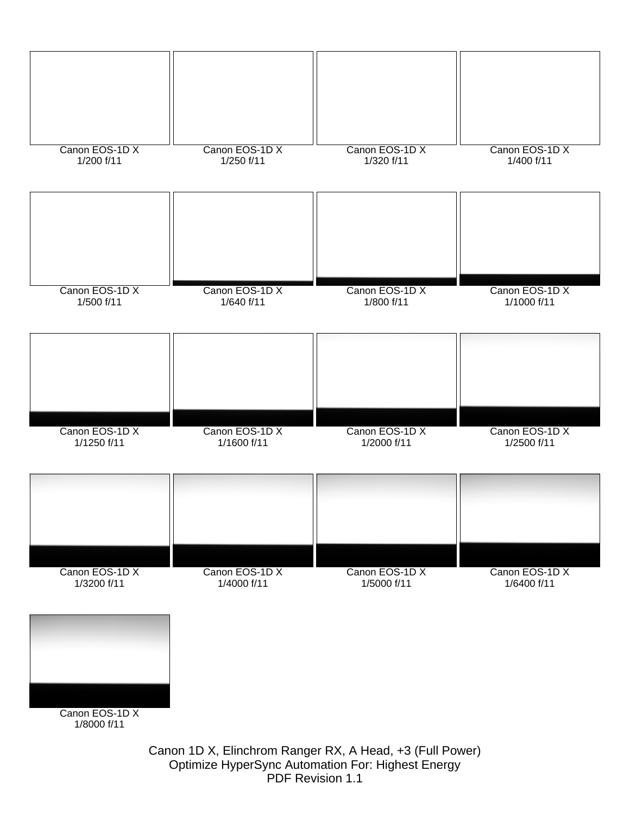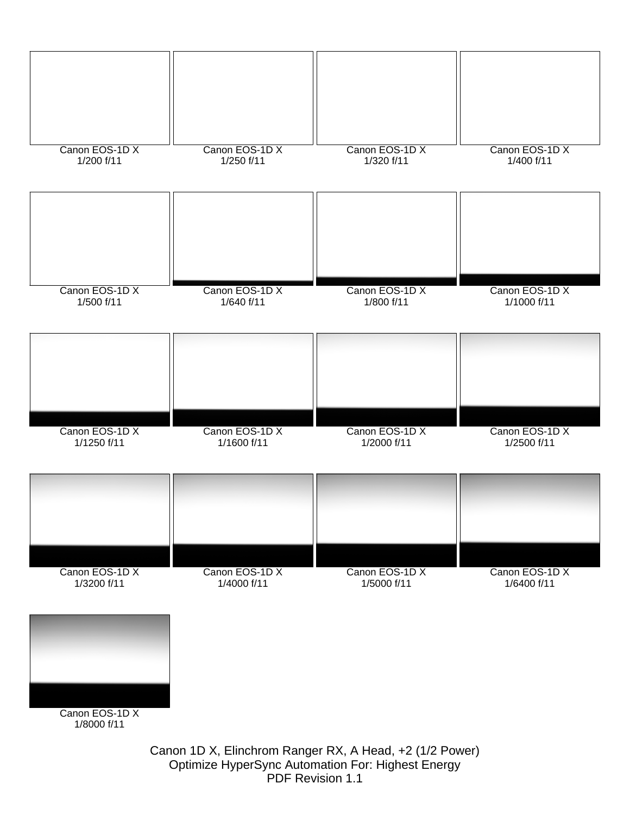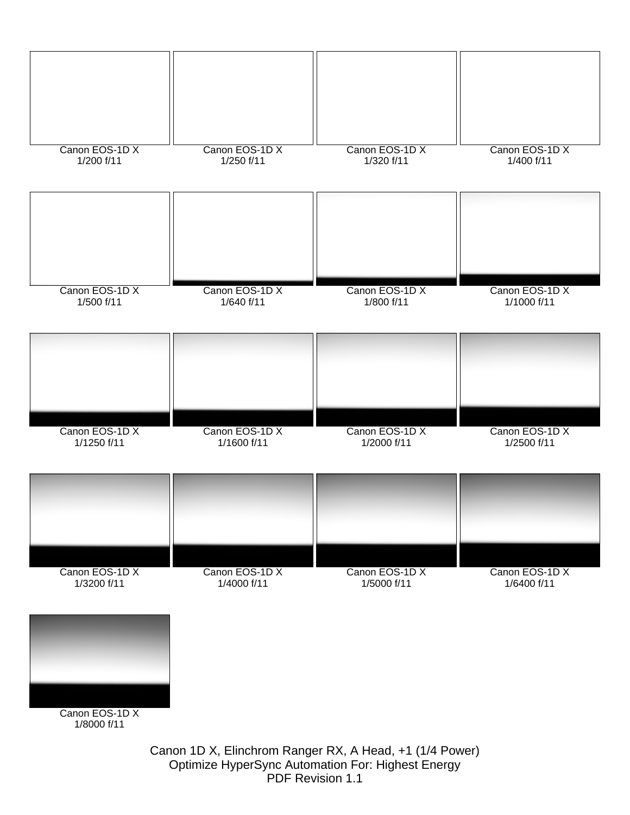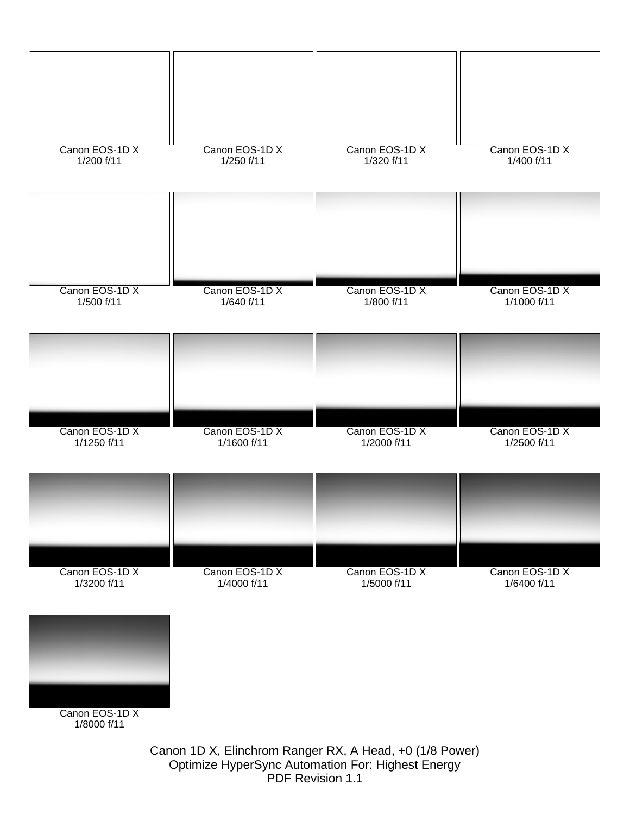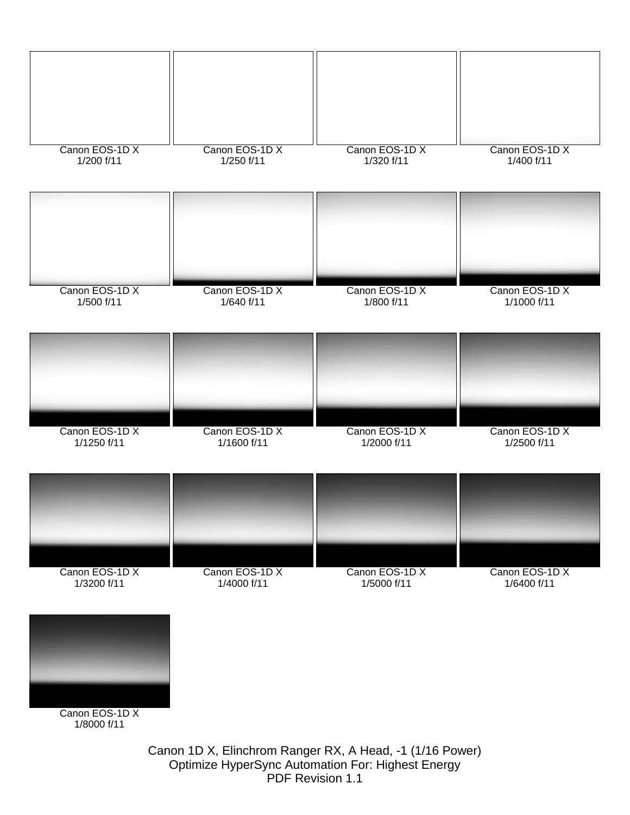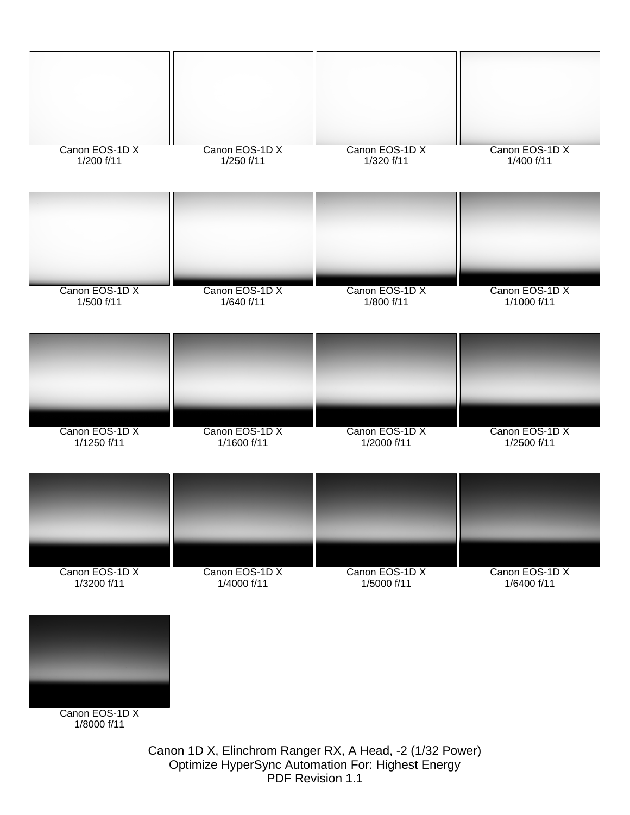

Optimize HyperSync Automation For: Highest Energy